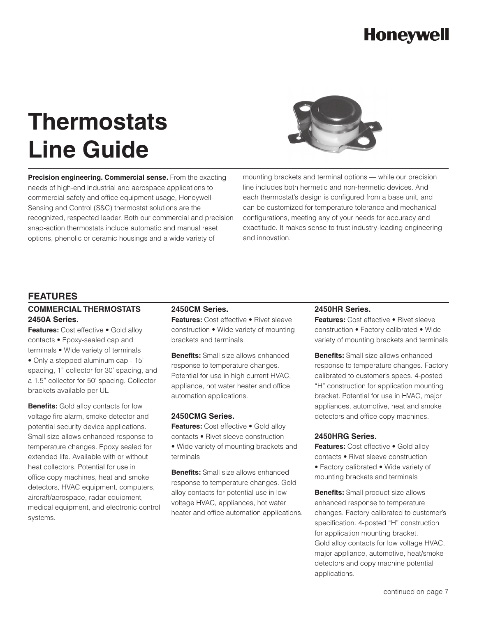# **Thermostats Line Guide**



**Precision engineering. Commercial sense.** From the exacting needs of high-end industrial and aerospace applications to commercial safety and office equipment usage, Honeywell Sensing and Control (S&C) thermostat solutions are the recognized, respected leader. Both our commercial and precision snap-action thermostats include automatic and manual reset options, phenolic or ceramic housings and a wide variety of

mounting brackets and terminal options — while our precision line includes both hermetic and non-hermetic devices. And each thermostat's design is configured from a base unit, and can be customized for temperature tolerance and mechanical configurations, meeting any of your needs for accuracy and exactitude. It makes sense to trust industry-leading engineering and innovation.

#### **FEATURES**

#### **Commercial Thermostats 2450A Series.**

Features: Cost effective . Gold alloy contacts • Epoxy-sealed cap and terminals • Wide variety of terminals • Only a stepped aluminum cap - 15' spacing, 1" collector for 30' spacing, and a 1.5" collector for 50' spacing. Collector brackets available per UL

**Benefits:** Gold alloy contacts for low voltage fire alarm, smoke detector and potential security device applications. Small size allows enhanced response to temperature changes. Epoxy sealed for extended life. Available with or without heat collectors. Potential for use in office copy machines, heat and smoke detectors, HVAC equipment, computers, aircraft/aerospace, radar equipment, medical equipment, and electronic control systems.

#### **2450CM Series.**

**Features:** Cost effective • Rivet sleeve construction • Wide variety of mounting brackets and terminals

**Benefits:** Small size allows enhanced response to temperature changes. Potential for use in high current HVAC, appliance, hot water heater and office automation applications.

#### **2450CMG Series.**

**Features:** Cost effective • Gold alloy contacts • Rivet sleeve construction • Wide variety of mounting brackets and terminals

**Benefits:** Small size allows enhanced response to temperature changes. Gold alloy contacts for potential use in low voltage HVAC, appliances, hot water heater and office automation applications.

#### **2450HR Series.**

**Features:** Cost effective • Rivet sleeve construction • Factory calibrated • Wide variety of mounting brackets and terminals

**Benefits:** Small size allows enhanced response to temperature changes. Factory calibrated to customer's specs. 4-posted "H" construction for application mounting bracket. Potential for use in HVAC, major appliances, automotive, heat and smoke detectors and office copy machines.

#### **2450HRG Series.**

**Features:** Cost effective • Gold alloy contacts • Rivet sleeve construction • Factory calibrated • Wide variety of mounting brackets and terminals

**Benefits:** Small product size allows enhanced response to temperature changes. Factory calibrated to customer's specification. 4-posted "H" construction for application mounting bracket. Gold alloy contacts for low voltage HVAC, major appliance, automotive, heat/smoke detectors and copy machine potential applications.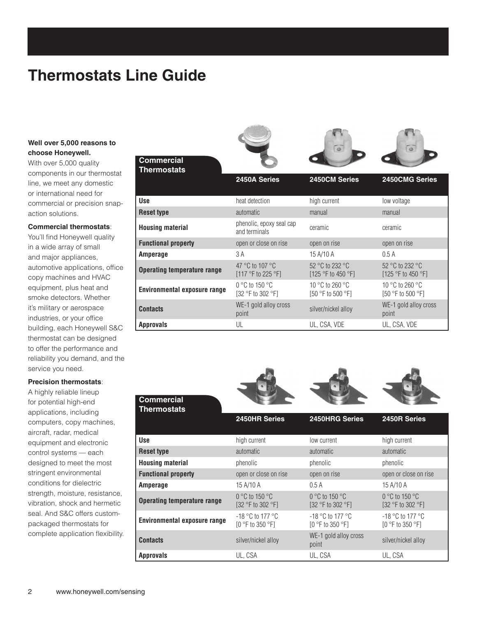### **Thermostats Line Guide**

#### **Well over 5,000 reasons to choose Honeywell.**

With over 5,000 quality components in our thermostat line, we meet any domestic or international need for commercial or precision snapaction solutions.

#### **Commercial thermostats**:

You'll find Honeywell quality in a wide array of small and major appliances, automotive applications, office copy machines and HVAC equipment, plus heat and smoke detectors. Whether it's military or aerospace industries, or your office building, each Honeywell S&C thermostat can be designed to offer the performance and reliability you demand, and the service you need.

#### **Precision thermostats**:

A highly reliable lineup for potential high-end applications, including computers, copy machines, aircraft, radar, medical equipment and electronic control systems — each designed to meet the most stringent environmental conditions for dielectric strength, moisture, resistance, vibration, shock and hermetic seal. And S&C offers custompackaged thermostats for complete application flexibility.



**Approvals** UL UL, CSA, VDE UL, CSA, VDE

**County** 

point

film.

**Contract** 

| <b>Commercial</b><br><b>Thermostats</b> |                                                            |                                                            |                                                             |
|-----------------------------------------|------------------------------------------------------------|------------------------------------------------------------|-------------------------------------------------------------|
|                                         | 2450HR Series                                              | 2450HRG Series                                             | 2450R Series                                                |
| <b>Use</b>                              | high current                                               | low current                                                | high current                                                |
| <b>Reset type</b>                       | automatic                                                  | automatic                                                  | automatic                                                   |
| <b>Housing material</b>                 | phenolic                                                   | phenolic                                                   | phenolic                                                    |
| <b>Functional property</b>              | open or close on rise                                      | open on rise                                               | open or close on rise                                       |
| Amperage                                | 15 A/10 A                                                  | 0.5A                                                       | 15 A/10 A                                                   |
| <b>Operating temperature range</b>      | $0^{\circ}$ C to 150 $^{\circ}$ C<br>$[32 °F$ to 302 $°F]$ | $0^{\circ}$ C to 150 $^{\circ}$ C<br>$[32 °F$ to 302 $°F]$ | $0^{\circ}$ C to 150 $^{\circ}$ C<br>$[32 °F]$ to 302 $°F]$ |
| Environmental exposure range            | $-18$ °C to 177 °C<br>$[0 °F$ to 350 $°F]$                 | $-18$ °C to 177 °C<br>$[0 °F$ to 350 $°F]$                 | $-18$ °C to 177 °C<br>$[0 °F$ to 350 $°F]$                  |
| <b>Contacts</b>                         | silver/nickel alloy                                        | WE-1 gold alloy cross<br>point                             | silver/nickel alloy                                         |
| <b>Approvals</b>                        | UL, CSA                                                    | UL, CSA                                                    | UL, CSA                                                     |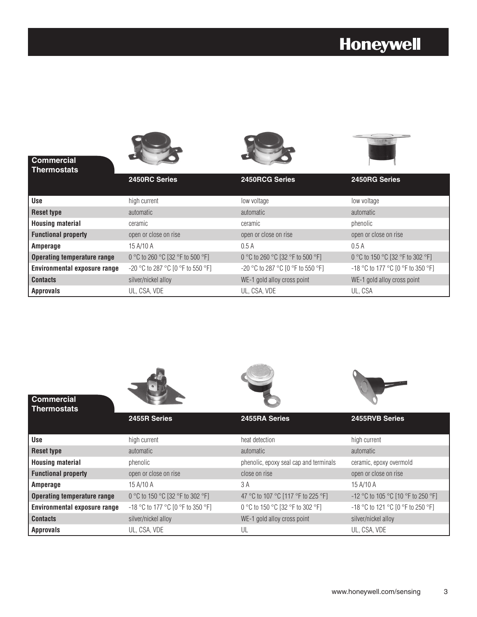

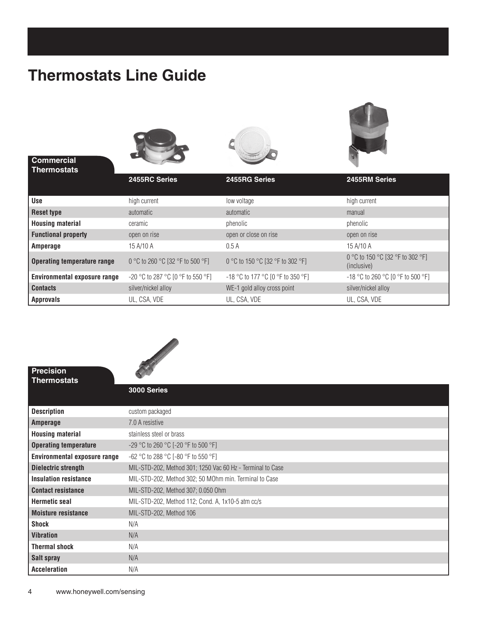### **Thermostats Line Guide**

| <b>Commercial</b><br><b>Thermostats</b> |                                     |                                   |                                                 |
|-----------------------------------------|-------------------------------------|-----------------------------------|-------------------------------------------------|
|                                         | 2455RC Series                       | 2455RG Series                     | 2455RM Series                                   |
| Use                                     | high current                        | low voltage                       | high current                                    |
| <b>Reset type</b>                       | automatic                           | automatic                         | manual                                          |
| <b>Housing material</b>                 | ceramic                             | phenolic                          | phenolic                                        |
| <b>Functional property</b>              | open on rise                        | open or close on rise             | open on rise                                    |
| Amperage                                | 15 A/10 A                           | 0.5A                              | 15 A/10 A                                       |
| <b>Operating temperature range</b>      | 0 °C to 260 °C [32 °F to 500 °F]    | 0 °C to 150 °C [32 °F to 302 °F]  | 0 °C to 150 °C [32 °F to 302 °F]<br>(inclusive) |
| <b>Environmental exposure range</b>     | $-20$ °C to 287 °C [0 °F to 550 °F] | -18 °C to 177 °C [0 °F to 350 °F] | $-18$ °C to 260 °C [0 °F to 500 °F]             |
| <b>Contacts</b>                         | silver/nickel alloy                 | WE-1 gold alloy cross point       | silver/nickel alloy                             |
| <b>Approvals</b>                        | UL, CSA, VDE                        | UL, CSA, VDE                      | UL, CSA, VDE                                    |

**COLLEGE** 



**Precision** 

| Thermostats                  |                                                            |  |  |  |
|------------------------------|------------------------------------------------------------|--|--|--|
|                              | 3000 Series                                                |  |  |  |
|                              |                                                            |  |  |  |
| <b>Description</b>           | custom packaged                                            |  |  |  |
| Amperage                     | 7.0 A resistive                                            |  |  |  |
| <b>Housing material</b>      | stainless steel or brass                                   |  |  |  |
| <b>Operating temperature</b> | -29 °C to 260 °C [-20 °F to 500 °F]                        |  |  |  |
| Environmental exposure range | $-62$ °C to 288 °C [-80 °F to 550 °F]                      |  |  |  |
| Dielectric strength          | MIL-STD-202, Method 301; 1250 Vac 60 Hz - Terminal to Case |  |  |  |
| <b>Insulation resistance</b> | MIL-STD-202, Method 302; 50 MOhm min. Terminal to Case     |  |  |  |
| <b>Contact resistance</b>    | MIL-STD-202, Method 307; 0.050 Ohm                         |  |  |  |
| <b>Hermetic seal</b>         | MIL-STD-202, Method 112; Cond. A, 1x10-5 atm cc/s          |  |  |  |
| <b>Moisture resistance</b>   | MIL-STD-202, Method 106                                    |  |  |  |
| Shock                        | N/A                                                        |  |  |  |
| <b>Vibration</b>             | N/A                                                        |  |  |  |
| <b>Thermal shock</b>         | N/A                                                        |  |  |  |
| Salt spray                   | N/A                                                        |  |  |  |
| <b>Acceleration</b>          | N/A                                                        |  |  |  |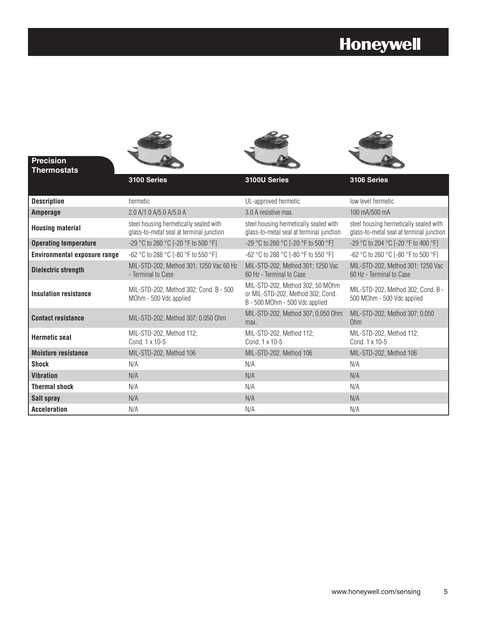

| <b>Description</b>           | hermetic                                                                           | UL-approved hermetic                                                                                    | low level hermetic                                                                 |  |
|------------------------------|------------------------------------------------------------------------------------|---------------------------------------------------------------------------------------------------------|------------------------------------------------------------------------------------|--|
| <b>Amperage</b>              | 2.0 A/1.0 A/5.0 A/5.0 A                                                            | 3.0 A resistive max.                                                                                    | 100 mA/500 mA                                                                      |  |
| <b>Housing material</b>      | steel housing hermetically sealed with<br>glass-to-metal seal at terminal junction | steel housing hermetically sealed with<br>glass-to-metal seal at terminal junction                      | steel housing hermetically sealed with<br>glass-to-metal seal at terminal junction |  |
| <b>Operating temperature</b> | -29 °C to 260 °C [-20 °F to 500 °F]                                                | -29 °C to 260 °C [-20 °F to 500 °F]                                                                     | -29 °C to 204 °C [-20 °F to 400 °F]                                                |  |
| Environmental exposure range | $-62$ °C to 288 °C [-80 °F to 550 °F]                                              | $-62$ °C to 288 °C [-80 °F to 550 °F]                                                                   | $-62$ °C to 260 °C [-80 °F to 500 °F]                                              |  |
| <b>Dielectric strength</b>   | MIL-STD-202, Method 301; 1250 Vac 60 Hz<br>- Terminal to Case                      | MIL-STD-202, Method 301; 1250 Vac<br>60 Hz - Terminal to Case                                           | MIL-STD-202, Method 301; 1250 Vac<br>60 Hz - Terminal to Case                      |  |
| <b>Insulation resistance</b> | MIL-STD-202, Method 302; Cond. B - 500<br>MOhm - 500 Vdc applied                   | MIL-STD-202, Method 302; 50 MOhm<br>or MIL-STD-202, Method 302; Cond.<br>B - 500 MOhm - 500 Vdc applied | MIL-STD-202, Method 302; Cond. B -<br>500 MOhm - 500 Vdc applied                   |  |
| <b>Contact resistance</b>    | MIL-STD-202, Method 307; 0.050 Ohm                                                 | MIL-STD-202, Method 307; 0.050 Ohm<br>max.                                                              | MIL-STD-202, Method 307; 0.050<br>Ohm                                              |  |
| <b>Hermetic seal</b>         | MIL-STD-202, Method 112;<br>Cond. 1 x 10-5                                         | MIL-STD-202, Method 112;<br>Cond. 1 x 10-5                                                              | MIL-STD-202, Method 112;<br>Cond. 1 x 10-5                                         |  |
| <b>Moisture resistance</b>   | MIL-STD-202, Method 106                                                            | MIL-STD-202, Method 106                                                                                 | MIL-STD-202, Method 106                                                            |  |
| <b>Shock</b>                 | N/A                                                                                | N/A                                                                                                     | N/A                                                                                |  |
| <b>Vibration</b>             | N/A                                                                                | N/A                                                                                                     | N/A                                                                                |  |
| <b>Thermal shock</b>         | N/A                                                                                | N/A                                                                                                     | N/A                                                                                |  |
| Salt spray                   | N/A                                                                                | N/A                                                                                                     | N/A                                                                                |  |
| <b>Acceleration</b>          | N/A                                                                                | N/A                                                                                                     | N/A                                                                                |  |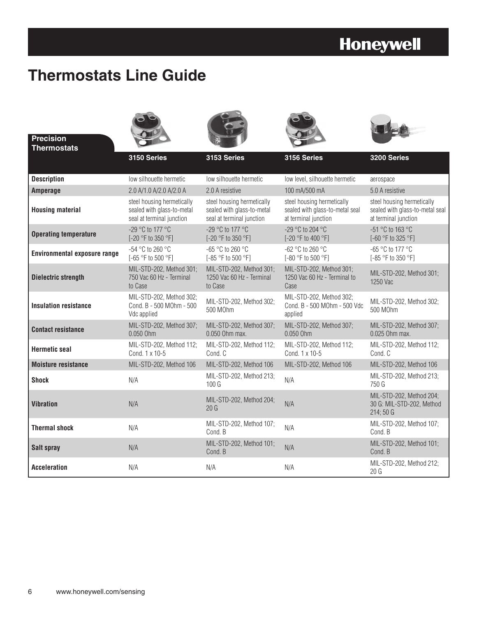### **Thermostats Line Guide**

| <b>Precision</b><br><b>Thermostats</b> |                                                                                       |                                                                                       |                                                                                       |                                                                                       |
|----------------------------------------|---------------------------------------------------------------------------------------|---------------------------------------------------------------------------------------|---------------------------------------------------------------------------------------|---------------------------------------------------------------------------------------|
|                                        | 3150 Series                                                                           | 3153 Series                                                                           | 3156 Series                                                                           | 3200 Series                                                                           |
| <b>Description</b>                     | low silhouette hermetic                                                               | low silhouette hermetic                                                               | low level, silhouette hermetic                                                        | aerospace                                                                             |
| Amperage                               | 2.0 A/1.0 A/2.0 A/2.0 A                                                               | 2.0 A resistive                                                                       | 100 mA/500 mA                                                                         | 5.0 A resistive                                                                       |
| <b>Housing material</b>                | steel housing hermetically<br>sealed with glass-to-metal<br>seal at terminal junction | steel housing hermetically<br>sealed with glass-to-metal<br>seal at terminal junction | steel housing hermetically<br>sealed with glass-to-metal seal<br>at terminal junction | steel housing hermetically<br>sealed with glass-to-metal seal<br>at terminal junction |
| <b>Operating temperature</b>           | -29 °C to 177 °C<br>[-20 °F to 350 °F]                                                | -29 °C to 177 °C<br>[-20 °F to 350 °F]                                                | -29 °C to 204 °C<br>[-20 °F to 400 °F]                                                | -51 °C to 163 °C<br>[-60 °F to 325 °F]                                                |
| <b>Environmental exposure range</b>    | -54 °C to 260 °C<br>[-65 °F to 500 °F]                                                | $-65$ °C to 260 °C<br>[-85 °F to 500 °F]                                              | $-62$ °C to 260 °C<br>[-80 °F to 500 °F]                                              | -65 °C to 177 °C<br>[-85 °F to 350 °F]                                                |
| <b>Dielectric strength</b>             | MIL-STD-202, Method 301;<br>750 Vac 60 Hz - Terminal<br>to Case                       | MIL-STD-202, Method 301;<br>1250 Vac 60 Hz - Terminal<br>to Case                      | MIL-STD-202, Method 301;<br>1250 Vac 60 Hz - Terminal to<br>Case                      | MIL-STD-202, Method 301;<br>1250 Vac                                                  |
| <b>Insulation resistance</b>           | MIL-STD-202, Method 302;<br>Cond. B - 500 MOhm - 500<br>Vdc applied                   | MIL-STD-202, Method 302;<br>500 M0hm                                                  | MIL-STD-202, Method 302;<br>Cond. B - 500 MOhm - 500 Vdc<br>applied                   | MIL-STD-202, Method 302;<br>500 M0hm                                                  |
| <b>Contact resistance</b>              | MIL-STD-202, Method 307;<br>0.050 Ohm                                                 | MIL-STD-202, Method 307;<br>0.050 Ohm max.                                            | MIL-STD-202, Method 307;<br>0.050 Ohm                                                 | MIL-STD-202, Method 307;<br>0.025 Ohm max.                                            |
| <b>Hermetic seal</b>                   | MIL-STD-202, Method 112;<br>Cond. 1 x 10-5                                            | MIL-STD-202, Method 112;<br>Cond. C                                                   | MIL-STD-202, Method 112;<br>Cond. 1 x 10-5                                            | MIL-STD-202, Method 112;<br>Cond. C                                                   |
| <b>Moisture resistance</b>             | MIL-STD-202, Method 106                                                               | MIL-STD-202, Method 106                                                               | MIL-STD-202, Method 106                                                               | MIL-STD-202, Method 106                                                               |
| <b>Shock</b>                           | N/A                                                                                   | MIL-STD-202, Method 213;<br>100 <sub>G</sub>                                          | N/A                                                                                   | MIL-STD-202, Method 213;<br>750 G                                                     |
| <b>Vibration</b>                       | N/A                                                                                   | MIL-STD-202, Method 204;<br>20G                                                       | N/A                                                                                   | MIL-STD-202, Method 204;<br>30 G: MIL-STD-202, Method<br>214;50G                      |
| <b>Thermal shock</b>                   | N/A                                                                                   | MIL-STD-202, Method 107;<br>Cond. B                                                   | N/A                                                                                   | MIL-STD-202, Method 107;<br>Cond. B                                                   |
| Salt spray                             | N/A                                                                                   | MIL-STD-202, Method 101;<br>Cond. B                                                   | N/A                                                                                   | MIL-STD-202, Method 101;<br>Cond. B                                                   |
| <b>Acceleration</b>                    | N/A                                                                                   | N/A                                                                                   | N/A                                                                                   | MIL-STD-202, Method 212;<br>20G                                                       |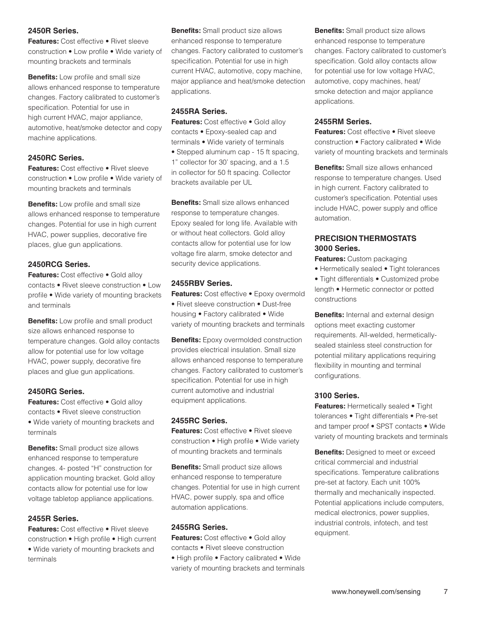#### **2450R Series.**

**Features:** Cost effective • Rivet sleeve construction • Low profile • Wide variety of mounting brackets and terminals

**Benefits:** Low profile and small size allows enhanced response to temperature changes. Factory calibrated to customer's specification. Potential for use in high current HVAC, major appliance, automotive, heat/smoke detector and copy machine applications.

#### **2450RC Series.**

**Features:** Cost effective • Rivet sleeve construction • Low profile • Wide variety of mounting brackets and terminals

**Benefits:** Low profile and small size allows enhanced response to temperature changes. Potential for use in high current HVAC, power supplies, decorative fire places, glue gun applications.

#### **2450RCG Series.**

**Features:** Cost effective • Gold alloy contacts • Rivet sleeve construction • Low profile • Wide variety of mounting brackets and terminals

**Benefits:** Low profile and small product size allows enhanced response to temperature changes. Gold alloy contacts allow for potential use for low voltage HVAC, power supply, decorative fire places and glue gun applications.

#### **2450RG Series.**

**Features:** Cost effective • Gold alloy contacts • Rivet sleeve construction • Wide variety of mounting brackets and terminals

**Benefits:** Small product size allows enhanced response to temperature changes. 4- posted "H" construction for application mounting bracket. Gold alloy contacts allow for potential use for low voltage tabletop appliance applications.

#### **2455R Series.**

**Features:** Cost effective • Rivet sleeve construction • High profile • High current • Wide variety of mounting brackets and terminals

**Benefits:** Small product size allows enhanced response to temperature changes. Factory calibrated to customer's specification. Potential for use in high current HVAC, automotive, copy machine, major appliance and heat/smoke detection applications.

#### **2455RA Series.**

**Features:** Cost effective • Gold alloy contacts • Epoxy-sealed cap and terminals • Wide variety of terminals • Stepped aluminum cap - 15 ft spacing, 1" collector for 30' spacing, and a 1.5 in collector for 50 ft spacing. Collector brackets available per UL

**Benefits:** Small size allows enhanced response to temperature changes. Epoxy sealed for long life. Available with or without heat collectors. Gold alloy contacts allow for potential use for low voltage fire alarm, smoke detector and security device applications.

#### **2455RBV Series.**

**Features:** Cost effective • Epoxy overmold • Rivet sleeve construction • Dust-free housing • Factory calibrated • Wide variety of mounting brackets and terminals

**Benefits:** Epoxy overmolded construction provides electrical insulation. Small size allows enhanced response to temperature changes. Factory calibrated to customer's specification. Potential for use in high current automotive and industrial equipment applications.

#### **2455RC Series.**

**Features:** Cost effective • Rivet sleeve construction • High profile • Wide variety of mounting brackets and terminals

**Benefits:** Small product size allows enhanced response to temperature changes. Potential for use in high current HVAC, power supply, spa and office automation applications.

#### **2455RG Series.**

**Features:** Cost effective • Gold alloy contacts • Rivet sleeve construction • High profile • Factory calibrated • Wide variety of mounting brackets and terminals **Benefits:** Small product size allows enhanced response to temperature changes. Factory calibrated to customer's specification. Gold alloy contacts allow for potential use for low voltage HVAC, automotive, copy machines, heat/ smoke detection and major appliance applications.

#### **2455RM Series.**

**Features:** Cost effective • Rivet sleeve construction • Factory calibrated • Wide variety of mounting brackets and terminals

**Benefits:** Small size allows enhanced response to temperature changes. Used in high current. Factory calibrated to customer's specification. Potential uses include HVAC, power supply and office automation.

#### **Precision Thermostats 3000 Series.**

**Features:** Custom packaging

- Hermetically sealed Tight tolerances
- Tight differentials Customized probe length • Hermetic connector or potted constructions

**Benefits:** Internal and external design options meet exacting customer requirements. All-welded, hermeticallysealed stainless steel construction for potential military applications requiring flexibility in mounting and terminal configurations.

#### **3100 Series.**

**Features:** Hermetically sealed • Tight tolerances • Tight differentials • Pre-set and tamper proof • SPST contacts • Wide variety of mounting brackets and terminals

**Benefits:** Designed to meet or exceed critical commercial and industrial specifications. Temperature calibrations pre-set at factory. Each unit 100% thermally and mechanically inspected. Potential applications include computers, medical electronics, power supplies, industrial controls, infotech, and test equipment.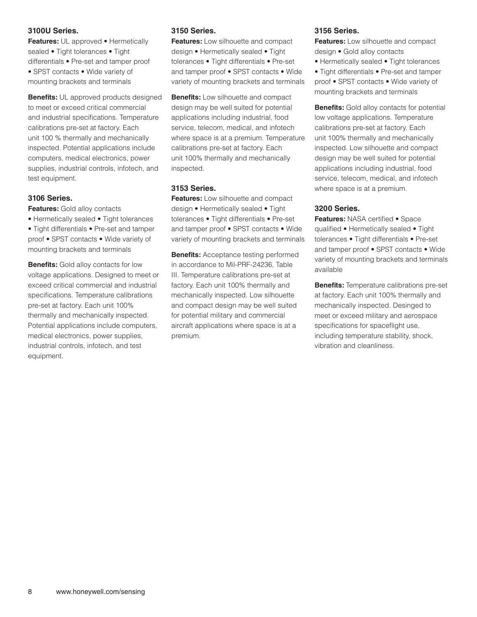#### **3100U Series.**

**Features:** UL approved • Hermetically sealed • Tight tolerances • Tight differentials • Pre-set and tamper proof • SPST contacts • Wide variety of mounting brackets and terminals

**Benefits:** UL approved products designed to meet or exceed critical commercial and industrial specifications. Temperature calibrations pre-set at factory. Each unit 100 % thermally and mechanically inspected. Potential applications include computers, medical electronics, power supplies, industrial controls, infotech, and test equipment.

#### **3106 Series.**

**Features:** Gold alloy contacts

• Hermetically sealed • Tight tolerances • Tight differentials • Pre-set and tamper proof • SPST contacts • Wide variety of mounting brackets and terminals

**Benefits:** Gold alloy contacts for low voltage applications. Designed to meet or exceed critical commercial and industrial specifications. Temperature calibrations pre-set at factory. Each unit 100% thermally and mechanically inspected. Potential applications include computers, medical electronics, power supplies, industrial controls, infotech, and test equipment.

#### **3150 Series.**

**Features:** Low silhouette and compact design • Hermetically sealed • Tight tolerances • Tight differentials • Pre-set and tamper proof • SPST contacts • Wide variety of mounting brackets and terminals

**Benefits:** Low silhouette and compact design may be well suited for potential applications including industrial, food service, telecom, medical, and infotech where space is at a premium. Temperature calibrations pre-set at factory. Each unit 100% thermally and mechanically inspected.

#### **3153 Series.**

**Features:** Low silhouette and compact design • Hermetically sealed • Tight tolerances • Tight differentials • Pre-set and tamper proof • SPST contacts • Wide variety of mounting brackets and terminals

**Benefits:** Acceptance testing performed in accordance to Mil-PRF-24236, Table III. Temperature calibrations pre-set at factory. Each unit 100% thermally and mechanically inspected. Low silhouette and compact design may be well suited for potential military and commercial aircraft applications where space is at a premium.

#### **3156 Series.**

**Features:** Low silhouette and compact design • Gold alloy contacts

• Hermetically sealed • Tight tolerances

• Tight differentials • Pre-set and tamper proof • SPST contacts • Wide variety of mounting brackets and terminals

**Benefits:** Gold alloy contacts for potential low voltage applications. Temperature calibrations pre-set at factory. Each unit 100% thermally and mechanically inspected. Low silhouette and compact design may be well suited for potential applications including industrial, food service, telecom, medical, and infotech where space is at a premium.

#### **3200 Series.**

**Features:** NASA certified • Space qualified • Hermetically sealed • Tight tolerances • Tight differentials • Pre-set and tamper proof • SPST contacts • Wide variety of mounting brackets and terminals available

**Benefits:** Temperature calibrations pre-set at factory. Each unit 100% thermally and mechanically inspected. Desinged to meet or exceed military and aerospace specifications for spaceflight use, including temperature stability, shock, vibration and cleanliness.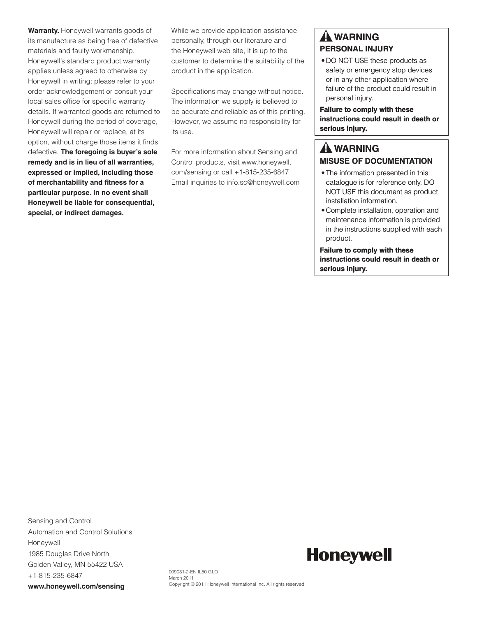**Warranty.** Honeywell warrants goods of its manufacture as being free of defective materials and faulty workmanship. Honeywell's standard product warranty applies unless agreed to otherwise by Honeywell in writing; please refer to your order acknowledgement or consult your local sales office for specific warranty details. If warranted goods are returned to Honeywell during the period of coverage, Honeywell will repair or replace, at its option, without charge those items it finds defective. **The foregoing is buyer's sole remedy and is in lieu of all warranties, expressed or implied, including those of merchantability and fitness for a particular purpose. In no event shall Honeywell be liable for consequential, special, or indirect damages.**

While we provide application assistance personally, through our literature and the Honeywell web site, it is up to the customer to determine the suitability of the product in the application.

Specifications may change without notice. The information we supply is believed to be accurate and reliable as of this printing. However, we assume no responsibility for its use.

For more information about Sensing and Control products, visit www.honeywell. com/sensing or call +1-815-235-6847 Email inquiries to info.sc@honeywell.com

### **WARNING PERSONAL INJURY**

• DO NOT USE these products as safety or emergency stop devices or in any other application where failure of the product could result in personal injury.

**Failure to comply with these instructions could result in death or serious injury.**

### **WARNING MISUSE OF DOCUMENTATION**

- The information presented in this catalogue is for reference only. DO NOT USE this document as product installation information.
- Complete installation, operation and maintenance information is provided in the instructions supplied with each product.

**Failure to comply with these instructions could result in death or serious injury.**

Sensing and Control Automation and Control Solutions Honeywell 1985 Douglas Drive North Golden Valley, MN 55422 USA +1-815-235-6847 **www.honeywell.com/sensing**

**Honeywell** 

009031-2-EN IL50 GLO March 2011 Copyright © 2011 Honeywell International Inc. All rights reserved.